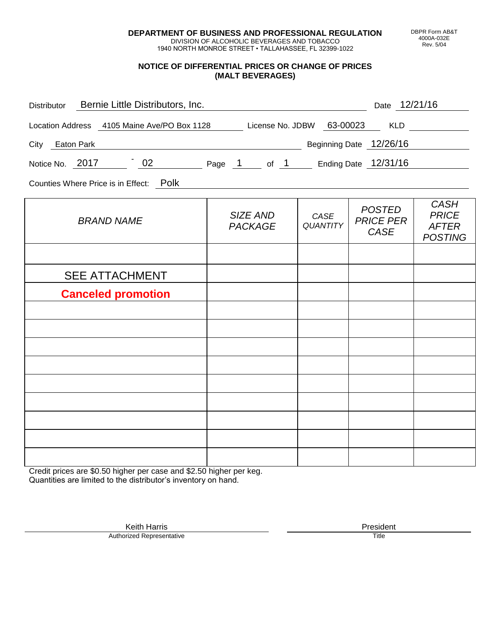**DEPARTMENT OF BUSINESS AND PROFESSIONAL REGULATION** DIVISION OF ALCOHOLIC BEVERAGES AND TOBACCO

1940 NORTH MONROE STREET • TALLAHASSEE, FL 32399-1022

## **NOTICE OF DIFFERENTIAL PRICES OR CHANGE OF PRICES (MALT BEVERAGES)**

| Distributor Bernie Little Distributors, Inc.                              |                                                           | Date 12/21/16           |                                           |                                                               |  |
|---------------------------------------------------------------------------|-----------------------------------------------------------|-------------------------|-------------------------------------------|---------------------------------------------------------------|--|
| Location Address 4105 Maine Ave/PO Box 1128 License No. JDBW 63-00023 KLD |                                                           |                         |                                           |                                                               |  |
| Beginning Date 12/26/16<br>City Eaton Park                                |                                                           |                         |                                           |                                                               |  |
| Notice No. 2017 202 Page 1 of 1 Ending Date 12/31/16                      |                                                           |                         |                                           |                                                               |  |
| Counties Where Price is in Effect: Polk                                   | <u> 1989 - John Stein, Amerikaansk politiker (* 1989)</u> |                         |                                           |                                                               |  |
| <b>BRAND NAME</b>                                                         | SIZE AND<br><b>PACKAGE</b>                                | CASE<br><b>QUANTITY</b> | <b>POSTED</b><br><b>PRICE PER</b><br>CASE | <b>CASH</b><br><b>PRICE</b><br><b>AFTER</b><br><b>POSTING</b> |  |
|                                                                           |                                                           |                         |                                           |                                                               |  |
| <b>SEE ATTACHMENT</b>                                                     |                                                           |                         |                                           |                                                               |  |
| <b>Canceled promotion</b>                                                 |                                                           |                         |                                           |                                                               |  |
|                                                                           |                                                           |                         |                                           |                                                               |  |
|                                                                           |                                                           |                         |                                           |                                                               |  |
|                                                                           |                                                           |                         |                                           |                                                               |  |
|                                                                           |                                                           |                         |                                           |                                                               |  |
|                                                                           |                                                           |                         |                                           |                                                               |  |
|                                                                           |                                                           |                         |                                           |                                                               |  |
|                                                                           |                                                           |                         |                                           |                                                               |  |
|                                                                           |                                                           |                         |                                           |                                                               |  |

Credit prices are \$0.50 higher per case and \$2.50 higher per keg. Quantities are limited to the distributor's inventory on hand.

> Keith Harris **President** President **President** President **President** President **President** Authorized Representative